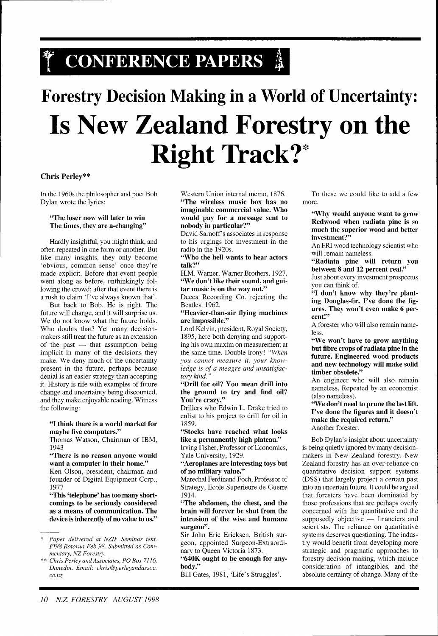# \* CONFERENCE PAPERS 4

# **Forestry Decision Making in a World of Uncertainty: Is New Zealand Forestry on the Right Track?\***

### **Chris Perley\*"**

In the 1960s the philosopher and poet Bob Dylan wrote the lyrics:

#### "The loser now will later to win The times, they are a-changing"

Hardly insightful, you might think, and often repeated in one form or another. But like many insights, they only become 'obvious, common sense' once they're made explicit. Before that event people went along as before, unthinkingly following the crowd; after that event there is a rush to claim 'I've always known that'.

But back to Bob. He is right. The future will change, and it will surprise us. We do not know what the future holds. Who doubts that? Yet many decisionmakers still treat the future as an extension of the past  $-$  that assumption being implicit in many of the decisions they make. We deny much of the uncertainty present in the future, perhaps because denial is an easier strategy than accepting it. History is rife with examples of future change and uncertainty being discounted, and they make enjoyable reading. Witness the following:

#### "I think there is a world market for maybe five computers."

Thomas Watson, Chairman of IBM, 1943

#### "There is no reason anyone would want a computer in their home."

Ken Olson, president, chairman and founder of Digital Equipment Corp., 1977

"This 'telephone' has too many shortcomings to be seriously considered as a means of communication. The device is inherently of no value to us."

Western Union internal memo, 1876. "The wireless music box has no imaginable commercial value. Who would pay for a message sent to nobody in particular?"

David Sarnoff's associates in response to his urgings for investment in the radio in the 1920s.

"Who the hell wants to hear actors talk?"

H.M. Warner, Warner Brothers, 1927. "We don't like their sound, and guitar music is on the way out."

Decca Recording Co. rejecting the Beatles, 1962.

"Heavier-than-air flying machines are impossible."

Lord Kelvin, president, Royal Society, 1895, here both denying and supporting his own maxim on measurement at the same time. Double irony! *"When you cannot measure it, your knowledge is of a meagre and unsatisfactory kind.* "

"Drill for oil? You mean drill into the ground to try and find oil? You're crazy."

Drillers who Edwin L. Drake tried to enlist to his project to drill for oil in 1859.

"Stocks have reached what looks like a permanently high plateau."

Irving Fisher, Professor of Economics, Yale University, 1929.

"Aeroplanes are interesting toys but of no military value."

Marechal Ferdinand Foch, Professor of Strategy, Ecole Superieure de Guerre 1914.

"The abdomen, the chest, and the brain will forever be shut from the intrusion of the wise and humane surgeon".

Sir John Eric Ericksen, British surgeon, appointed Surgeon-Extraordinary to Queen Victoria 1873.

"640K ought to be enough for anybody."

Bill Gates, 1981, 'Life's Struggles'.

To these we could like to add a few more.

"Why would anyone want to grow Redwood when radiata pine is so much the superior wood and better investment?"

An FRI wood technology scientist who will remain nameless.

"Radiata pine will return you between **8** and 12 percent real."

Just about every investment prospectus you can think of.

**"I** don't know why they're planting Douglas-fir. I've done the figures. They won't even make 6 percent!"

A forester who will also remain nameless.

"We won't have to grow anything but fibre crops of radiata pine in the future. Engineered wood products and new technology will make solid timber obsolete."

An engineer who will also remain nameless. Repeated by an economist (also nameless).

"We don't need to prune the last lift. I've done the figures and it doesn't make the required return." Another forester.

Bob Dylan's insight about uncertainty is being quietly ignored by many decisionmakers in New Zealand forestry. New Zealand forestry has an over-reliance on quantitative decision support systems (DSS) that largely project a certain past into an uncertain future. It could be argued that foresters have been dominated by those professions that are perhaps overly concerned with the quantitative and the those professions that are perhaps overly<br>concerned with the quantitative and the<br>supposedly objective — financiers and<br>scientists. The relignee on quantitative scientists. The reliance on quantitative systems deserves questioning. The industry would benefit from developing more strategic and pragmatic approaches to forestry decision making, which include consideration of intangibles, and the absolute certainty of change. Many of the

<sup>\*</sup> *Paper delivered at NZIF Seminar tent. FI98 Rotorua Feb 98. Submitted as Commentary, NZ Forestry.* 

<sup>\*\*</sup> *Chris Perley andAssociates, PO Box 7116, Dunedin. Email: chris@perleyandassoc. c0.nz*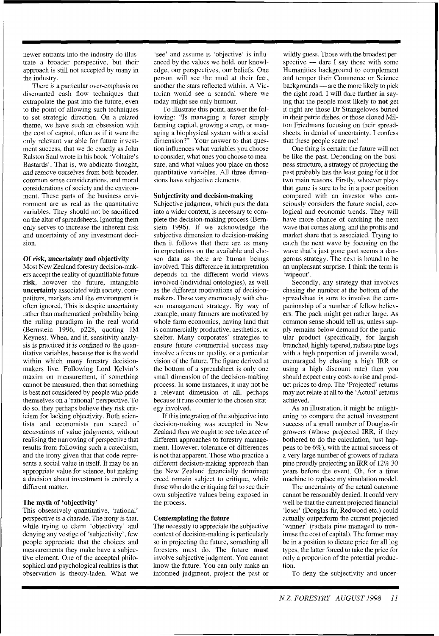newer entrants into the industry do illustrate a broader perspective, but their approach is still not accepted by many in the industry.

There is a particular over-emphasis on discounted cash flow techniques that extrapolate the past into the future, even to the point of allowing such techniques to set strategic direction. On a related theme, we have such an obsession with the cost of capital, often as if it were the only relevant variable for future investment success, that we do exactly as John Ralston Saul wrote in his book 'Voltaire's Bastards'. That is, we abdicate thought, and remove ourselves from both broader, common sense considerations, and moral considerations of society and the environment. These parts of the business environment are as real as the quantitative variables. They should not be sacrificed on the altar of spreadsheets. Ignoring them only serves to increase the inherent risk and uncertainty of any investment decision.

#### **Of risk, uncertainty and objectivity**

Most New Zealand forestry decision-makers accept the reality of quantifiable future **risk,** however the future, intangible **uncertainty** associated with society, competitors, markets and the environment is often ignored. This is despite uncertainty rather than mathematical probability being the ruling paradigm in the real world (Bernstein 1996, p228, quoting JM Keynes). When, and if, sensitivity analysis is practiced it is confined to the quantitative variables, because that is the world within which many forestry decisionmakers live. Following Lord Kelvin's maxim on measurement, if something cannot be measured, then that something is best not considered by people who pride themselves on a 'rational' perspective. To do so, they perhaps believe they risk criticism for lacking objectivity. Both scientists and economists run scared of accusations of value judgments, without realising the narrowing of perspective that results from following such a catechism, and the irony given that that code represents a social value in itself. It may be an appropriate value for science, but making a decision about investment is entirely a different matter.

# **The myth of 'objectivity'**

This obsessively quantitative, 'rational' perspective is a charade. The irony is that, while trying to claim 'objectivity' and denying any vestige of 'subjectivity', few people appreciate that the choices and measurements they make have a subjective element. One of the accepted philosophical and psychological realities is that observation is theory-laden. What we

'see' and assume is 'objective' is influenced by the values we hold, our knowledge, our perspectives, our beliefs. One person will see the mud at their feet, another the stars reflected within. A Victorian would see a scandal where we today might see only humour.

To illustrate this point, answer the following: "Is managing a forest simply farming capital, growing a crop, or managing a biophysical system with a social dimension?" Your answer to that question influences what variables you choose to consider, what ones you choose to measure, and what values you place on those quantitative variables. All three dimensions have subjective elements.

#### **Subjectivity and decision-making**

Subjective judgment, which puts the data into a wider context, is necessary to complete the decision-making process (Bemstein 1996). If we acknowledge the subjective dimension to decision-making then it follows that there are as many interpretations on the available and chosen data as there are human beings involved. This difference in interpretation depends on the different world views involved (individual ontologies), as well as the different motivations of decisionmakers. These vary enormously with chosen management strategy. By way of example, many farmers are motivated by whole farm economics, having land that is commercially productive, aesthetics, or shelter. Many corporates' strategies to ensure future commercial success may involve a focus on quality, or a particular vision of the future. The figure derived at the bottom of a spreadsheet is only one small dimension of the decision-making process. In some instances, it may not be a relevant dimension at all, perhaps because it runs counter to the chosen strategy involved.

If this integration of the subjective into decision-making was accepted in New Zealand then we ought to see tolerance of different approaches to forestry management. However, tolerance of differences is not that apparent. Those who practice a different decision-making approach than the New Zealand financially dominant creed remain subject to critique, while those who do the critiquing fail to see their own subjective values being exposed in the process.

#### **Contemplating the future**

The necessity to appreciate the subjective context of decision-making is particularly so in projecting the future, something all foresters must do. The future **must**  involve subjective judgment. You cannot know the future. You can only make an informed judgment, project the past or

wildly guess. Those with the broadest perspective  $-$  dare I say those with some Humanities background to complement and temper their Commerce or Science Humanities background to complement<br>and temper their Commerce or Science<br>backgrounds — are the more likely to pick<br>the right road J will data further in seve the right road. I will dare further in saying that the people most likely to **not** get it right are those Dr Strangeloves buried in their petrie dishes, or those cloned Milton Friedmans focusing on their spreadsheets, in denial of uncertainty. I confess that these people scare me!

One thing is certain: the future will not be like the past. Depending on the business structure, a strategy of projecting the past probably has the least going for it for two main reasons. Firstly, whoever plays that game is sure to be in a poor position compared with an investor who consciously considers the future social, ecological and economic trends. They will have more chance of catching the next wave that comes along, and the profits and market share that is associated. Trying to catch the next wave by focusing on the wave that's just gone past seems a dangerous strategy. The next is bound to be an unpleasant surprise. I think the term is 'wipeout'.

Secondly, any strategy that involves chasing the number at the bottom of the spreadsheet is sure to involve the companionship of a number of fellow believers. The pack might get rather large. As common sense should tell us, unless supply remains below demand for the particular product (specifically, for largish branched, highly tapered, radiata pine logs with a high proportion of juvenile wood, encouraged by chasing a high IRR or using a high discount rate) then you should expect entry costs to rise and product prices to drop. The 'Projected' returns may not relate at all to the 'Actual' returns achieved.

As an illustration, it might be enlightening to compare the actual investment success of a small number of Douglas-fir growers (whose projected IRR, if they bothered to do the calculation, just happens to be 6%), with the actual success of a very large number of growers of radiata pine proudly projecting an IRR of 12% 30 years before the event. Oh, for a time machine to replace my simulation model.

The uncertainty of the actual outcome cannot be reasonably denied. It could very well be that the current projected financial 'loser' (Douglas-fir, Redwood etc.) could actually outperform the current projected 'winner' (radiata pine managed to minimise the cost of capital). The former may be in a position to dictate price for all log types, the latter forced to take the price for only a proportion of the potential production.

To deny the subjectivity and uncer-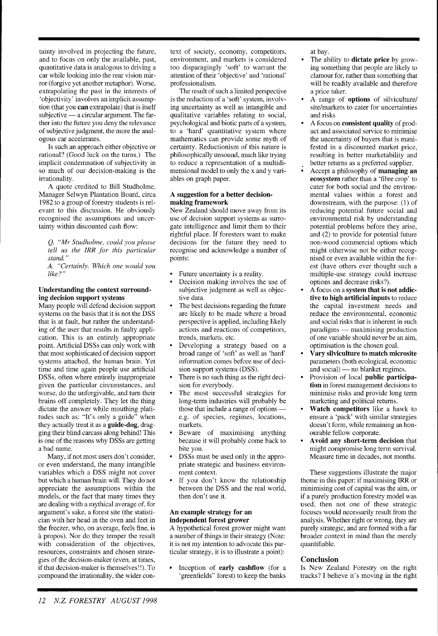tainty involved in projecting the future, and to focus on only the available, past, quantitative data is analogous to driving a car while looking into the rear vision mirror (forgive yet another metaphor). Worse, extrapolating the past in the interests of 'objectivity' involves an implicit assumption (that you **can** extrapolate) that is itself subjective - a circular argument. The farther into the future you deny the relevance of subjective judgment, the more the analogous car accelerates.

Is such an approach either objective or rational? (Good luck on the turns.) The implicit condemnation of subjectivity in so much of our decision-making is the irrationality.

A quote credited to Bill Studholme, Manager Selwyn Plantation Board, circa 1982 to a group of forestry students is relevant to this discussion. He obviously recognised the assumptions and uncertainty within discounted cash flow:

(2. *"Mr Studholme, could you please*   $tell$  *us the IRR for this particular stand.* "

*A. "Certainly. Which one would you like?"* 

#### **Understanding the context surrounding decision support systems**

Many people will defend decision support systems on the basis that it is not the DSS that is at fault, but rather the understanding of the user that results in faulty application. This is an entirely appropriate point. Artificial DSSs can only work with that most sophisticated of decision support systems attached, the human brain. Yet time and time again people use artificial DSSs, often where entirely inappropriate given the particular circumstances, and worse, do the unforgivable, and turn their brains off completely. They let the thing dictate the answer while mouthing platitudes such as: "It's only a guide" when they actually treat it as a **guide-dog,** dragging their blind carcass along behind! This is one of the reasons why DSSs are getting a bad name.

Many, if not most users don't consider, or even understand, the many intangible variables which a DSS might not cover but which a human brain will. They do not appreciate the assumptions within the models, or the fact that many times they are dealing with a mythical average of, for argument's sake, a forest site (the statistician with her head in the oven and feet in the freezer, who, on average, feels fine, is 2 propos). Nor do they temper the result with consideration of the objectives, resources, constraints and chosen strategies of the decision-maker (even, at times, if that decision-maker is themselves! !). To compound the irrationality, the wider con-

text of society, economy, competitors, environment, and markets is considered too disparagingly 'soft' to warrant the attention of their 'objective' and 'rational' professionalism.

The result of such a limited perspective is the reduction of a 'soft' system, involving uncertainty as well as intangible and qualitative variables relating to social, psychological and biotic parts of a system, to a 'hard' quantitative system where mathematics can provide some myth of certainty. Reductionism of this nature is philosophically unsound, much like trying to reduce a representation of a multidimensional model to only the x and y variables on graph paper.

#### **A suggestion for a better decisionmaking framework**

New Zealand should move away from its use of decision support systems as surrogate intelligence and limit them to their rightful place. If foresters want to make decisions for the future they need to recognise and acknowledge a number of points:

- Future uncertainty is a reality.
- Decision making involves the use of subjective judgment as well as objective data.
- The best decisions regarding the future are likely to be made where a broad perspective is applied, including likely actions and reactions of competitors, trends, markets, etc.
- Developing a strategy based on a broad range of 'soft' as well as 'hard' information comes before use of decision support systems (DSS).
- There is no such thing as the right decision for everybody.
- The most successful strategies for long-term industries will probably be The most successful strategies for<br>long-term industries will probably be<br>those that include a range of options e.g. of species, regimes, locations, markets.
- Beware of maximising anything because it will probably come back to bite you.
- DSSs must be used only in the appropriate strategic and business environment context.
- If you don't know the relationship between the DSS and the real world, then don't use it.

#### **An example strategy for an independent forest grower**

A hypothetical forest grower might want a number of things in their strategy (Note: it is not my intention to advocate this particular strategy, it is to illustrate a point):

Inception of **early cashflow** (for a 'greenfields" forest) to keep the banks at bay.

- The ability to **dictate price** by growing something that people are likely to clamour for, rather than something that will be readily available and therefore a price taker.
- A range of **options** of silviculture/ site/markets to cater for uncertainties and risks
- A focus on **consistent quality** of product and associated service to minimise the uncertainty of buyers that is manifested in a discounted market price, resulting in better marketability and better returns as a preferred supplier.
- Accept a philosophy of **managing an ecosystem** rather than a 'fibre crop' to cater for both social and the environmental values within a forest and downstream, with the purpose: (1) of reducing potential future social and environmental risk by understanding potential problems before they arise, and (2) to provide for potential future non-wood commercial options which might otherwise not be either recognised or even available within the forest (have others ever thought such a multiple-use strategy could increase options and decrease risks?).
- A focus on a **system that is not addictive to high artificial inputs** to reduce the capital investment needs and reduce the environmental, economic and social risks that is inherent in such paradigms - maximising production of one variable should never be an aim, optimisation is the chosen goal.
- **Vary silviculture to match microsite**  parameters (both ecological, economic **Vary silviculture to match micros**<br>parameters (both ecological, econor<br>and social) — no blanket regimes.<br>Provision of local public porticia
- Provision of local **public participation** in forest management decisions to minimise risks and provide long term marketing and political returns.
- **Watch competitors** like a hawk to ensure a 'pack' with similar strategies doesn't form, while remaining an honourable fellow corporate.
- **Avoid any short-term decision** that might compromise long term survival. Measure time in decades, not months.

These suggestions illustrate the major theme in this paper: if maximising IRR or minimising cost of capital was the aim, or if a purely production forestry model was used, then not one of these strategic focuses would necessarily result from the analysis. Whether right or wrong, they are purely strategic, and are formed with a far broader context in mind than the merely quantifiable.

# **Conclusion**

Is New Zealand Forestry on the right tracks? I believe it's moving in the right